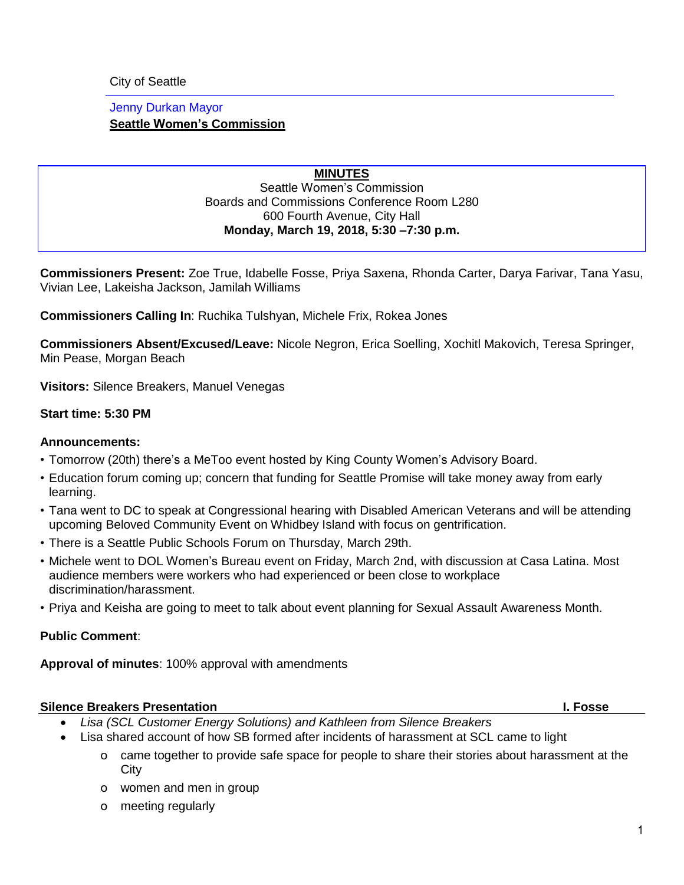City of Seattle

## Jenny Durkan Mayor **Seattle Women's Commission**

#### **MINUTES** Seattle Women's Commission Boards and Commissions Conference Room L280 600 Fourth Avenue, City Hall **Monday, March 19, 2018, 5:30 –7:30 p.m.**

**Commissioners Present:** Zoe True, Idabelle Fosse, Priya Saxena, Rhonda Carter, Darya Farivar, Tana Yasu, Vivian Lee, Lakeisha Jackson, Jamilah Williams

**Commissioners Calling In**: Ruchika Tulshyan, Michele Frix, Rokea Jones

**Commissioners Absent/Excused/Leave:** Nicole Negron, Erica Soelling, Xochitl Makovich, Teresa Springer, Min Pease, Morgan Beach

**Visitors:** Silence Breakers, Manuel Venegas

#### **Start time: 5:30 PM**

#### **Announcements:**

- Tomorrow (20th) there's a MeToo event hosted by King County Women's Advisory Board.
- Education forum coming up; concern that funding for Seattle Promise will take money away from early learning.
- Tana went to DC to speak at Congressional hearing with Disabled American Veterans and will be attending upcoming Beloved Community Event on Whidbey Island with focus on gentrification.
- There is a Seattle Public Schools Forum on Thursday, March 29th.
- Michele went to DOL Women's Bureau event on Friday, March 2nd, with discussion at Casa Latina. Most audience members were workers who had experienced or been close to workplace discrimination/harassment.
- Priya and Keisha are going to meet to talk about event planning for Sexual Assault Awareness Month.

## **Public Comment**:

**Approval of minutes**: 100% approval with amendments

## **Silence Breakers Presentation I. Fosse**

- *Lisa (SCL Customer Energy Solutions) and Kathleen from Silence Breakers*
- Lisa shared account of how SB formed after incidents of harassment at SCL came to light
	- o came together to provide safe space for people to share their stories about harassment at the **City**
	- o women and men in group
	- o meeting regularly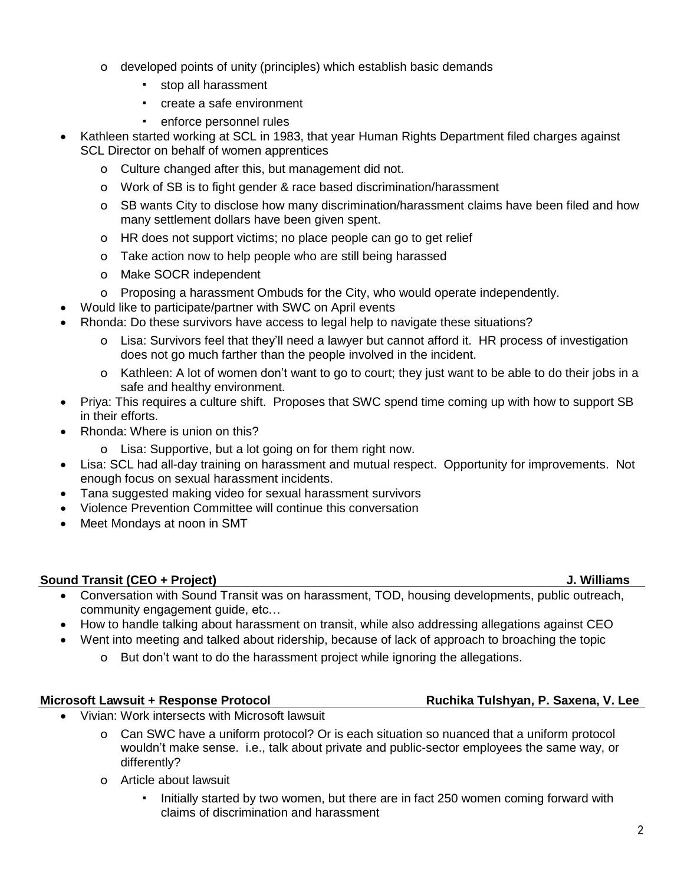- o developed points of unity (principles) which establish basic demands
	- stop all harassment
	- create a safe environment
	- enforce personnel rules
- Kathleen started working at SCL in 1983, that year Human Rights Department filed charges against SCL Director on behalf of women apprentices
	- o Culture changed after this, but management did not.
	- o Work of SB is to fight gender & race based discrimination/harassment
	- o SB wants City to disclose how many discrimination/harassment claims have been filed and how many settlement dollars have been given spent.
	- o HR does not support victims; no place people can go to get relief
	- o Take action now to help people who are still being harassed
	- o Make SOCR independent
	- o Proposing a harassment Ombuds for the City, who would operate independently.
	- Would like to participate/partner with SWC on April events
- Rhonda: Do these survivors have access to legal help to navigate these situations?
	- o Lisa: Survivors feel that they'll need a lawyer but cannot afford it. HR process of investigation does not go much farther than the people involved in the incident.
	- o Kathleen: A lot of women don't want to go to court; they just want to be able to do their jobs in a safe and healthy environment.
- Priya: This requires a culture shift. Proposes that SWC spend time coming up with how to support SB in their efforts.
- Rhonda: Where is union on this?
	- o Lisa: Supportive, but a lot going on for them right now.
- Lisa: SCL had all-day training on harassment and mutual respect. Opportunity for improvements. Not enough focus on sexual harassment incidents.
- Tana suggested making video for sexual harassment survivors
- Violence Prevention Committee will continue this conversation
- Meet Mondays at noon in SMT

## **Sound Transit (CEO + Project) J. Williams**

- Conversation with Sound Transit was on harassment, TOD, housing developments, public outreach, community engagement guide, etc…
- How to handle talking about harassment on transit, while also addressing allegations against CEO
	- Went into meeting and talked about ridership, because of lack of approach to broaching the topic
		- o But don't want to do the harassment project while ignoring the allegations.

# **Microsoft Lawsuit + Response Protocol Ruchika Tulshyan, P. Saxena, V. Lee**

- Vivian: Work intersects with Microsoft lawsuit
	- o Can SWC have a uniform protocol? Or is each situation so nuanced that a uniform protocol wouldn't make sense. i.e., talk about private and public-sector employees the same way, or differently?
	- o Article about lawsuit
		- Initially started by two women, but there are in fact 250 women coming forward with claims of discrimination and harassment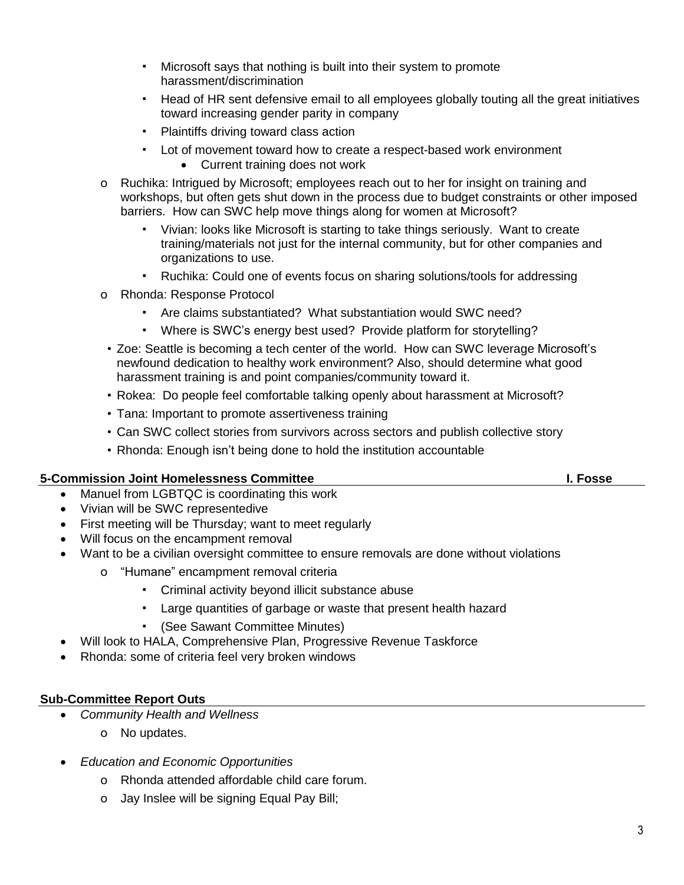- Microsoft says that nothing is built into their system to promote harassment/discrimination
- Head of HR sent defensive email to all employees globally touting all the great initiatives toward increasing gender parity in company
- Plaintiffs driving toward class action
- Lot of movement toward how to create a respect-based work environment • Current training does not work
- o Ruchika: Intrigued by Microsoft; employees reach out to her for insight on training and workshops, but often gets shut down in the process due to budget constraints or other imposed barriers. How can SWC help move things along for women at Microsoft?
	- Vivian: looks like Microsoft is starting to take things seriously. Want to create training/materials not just for the internal community, but for other companies and organizations to use.
	- Ruchika: Could one of events focus on sharing solutions/tools for addressing
- o Rhonda: Response Protocol
	- Are claims substantiated? What substantiation would SWC need?
	- Where is SWC's energy best used? Provide platform for storytelling?
	- Zoe: Seattle is becoming a tech center of the world. How can SWC leverage Microsoft's newfound dedication to healthy work environment? Also, should determine what good harassment training is and point companies/community toward it.
	- Rokea: Do people feel comfortable talking openly about harassment at Microsoft?
- Tana: Important to promote assertiveness training
- Can SWC collect stories from survivors across sectors and publish collective story
- Rhonda: Enough isn't being done to hold the institution accountable

## **5-Commission Joint Homelessness Committee I. Fosse**

- Manuel from LGBTQC is coordinating this work
- Vivian will be SWC representedive
- First meeting will be Thursday; want to meet regularly
- Will focus on the encampment removal
- Want to be a civilian oversight committee to ensure removals are done without violations
	- o "Humane" encampment removal criteria
		- Criminal activity beyond illicit substance abuse
		- Large quantities of garbage or waste that present health hazard
		- (See Sawant Committee Minutes)
	- Will look to HALA, Comprehensive Plan, Progressive Revenue Taskforce
- Rhonda: some of criteria feel very broken windows

#### **Sub-Committee Report Outs**

- *Community Health and Wellness*
	- o No updates.
- *Education and Economic Opportunities*
	- o Rhonda attended affordable child care forum.
	- o Jay Inslee will be signing Equal Pay Bill;